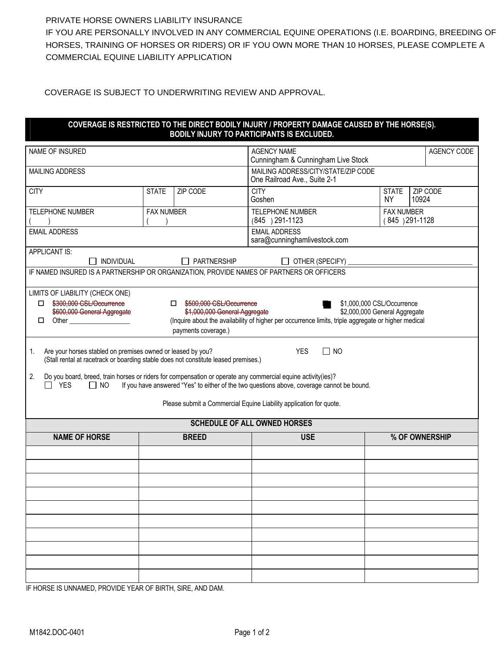## PRIVATE HORSE OWNERS LIABILITY INSURANCE

IF YOU ARE PERSONALLY INVOLVED IN ANY COMMERCIAL EQUINE OPERATIONS (I.E. BOARDING, BREEDING OF HORSES, TRAINING OF HORSES OR RIDERS) OR IF YOU OWN MORE THAN 10 HORSES, PLEASE COMPLETE A COMMERCIAL EQUINE LIABILITY APPLICATION

COVERAGE IS SUBJECT TO UNDERWRITING REVIEW AND APPROVAL.

## **COVERAGE IS RESTRICTED TO THE DIRECT BODILY INJURY / PROPERTY DAMAGE CAUSED BY THE HORSE(S). BODILY INJURY TO PARTICIPANTS IS EXCLUDED.**

| NAME OF INSURED                                                                                                                                                                                                                                                                                                                                                                        |                   |                    | <b>AGENCY NAME</b><br>Cunningham & Cunningham Live Stock                                                                                                                                    |                                     | AGENCY CODE       |  |  |
|----------------------------------------------------------------------------------------------------------------------------------------------------------------------------------------------------------------------------------------------------------------------------------------------------------------------------------------------------------------------------------------|-------------------|--------------------|---------------------------------------------------------------------------------------------------------------------------------------------------------------------------------------------|-------------------------------------|-------------------|--|--|
| <b>MAILING ADDRESS</b>                                                                                                                                                                                                                                                                                                                                                                 |                   |                    | MAILING ADDRESS/CITY/STATE/ZIP CODE<br>One Railroad Ave., Suite 2-1                                                                                                                         |                                     |                   |  |  |
| <b>CITY</b>                                                                                                                                                                                                                                                                                                                                                                            | <b>STATE</b>      | ZIP CODE           | <b>CITY</b><br>Goshen                                                                                                                                                                       | <b>STATE</b><br>NY.                 | ZIP CODE<br>10924 |  |  |
| <b>TELEPHONE NUMBER</b>                                                                                                                                                                                                                                                                                                                                                                | <b>FAX NUMBER</b> |                    | <b>TELEPHONE NUMBER</b><br>(845) 291-1123                                                                                                                                                   | <b>FAX NUMBER</b><br>(845) 291-1128 |                   |  |  |
| <b>EMAIL ADDRESS</b>                                                                                                                                                                                                                                                                                                                                                                   |                   |                    | <b>EMAIL ADDRESS</b><br>sara@cunninghamlivestock.com                                                                                                                                        |                                     |                   |  |  |
| APPLICANT IS:<br>INDIVIDUAL                                                                                                                                                                                                                                                                                                                                                            |                   | $\Box$ PARTNERSHIP | OTHER (SPECIFY)                                                                                                                                                                             |                                     |                   |  |  |
| IF NAMED INSURED IS A PARTNERSHIP OR ORGANIZATION, PROVIDE NAMES OF PARTNERS OR OFFICERS                                                                                                                                                                                                                                                                                               |                   |                    |                                                                                                                                                                                             |                                     |                   |  |  |
| LIMITS OF LIABILITY (CHECK ONE)<br>\$300,000 CSL/Occurrence<br>\$1,000,000 CSL/Occurrence<br>\$500,000 CSL/Occurrence<br>$\Box$<br>$\Box$<br>\$600,000 General Aggregate<br>\$1,000,000 General Aggregate<br>\$2,000,000 General Aggregate<br>(Inquire about the availability of higher per occurrence limits, triple aggregate or higher medical<br>Other<br>□<br>payments coverage.) |                   |                    |                                                                                                                                                                                             |                                     |                   |  |  |
| Are your horses stabled on premises owned or leased by you?<br>1.<br>(Stall rental at racetrack or boarding stable does not constitute leased premises.)<br>Do you board, breed, train horses or riders for compensation or operate any commercial equine activity(ies)?<br>2.<br>$\Box$ YES<br>$\Box$ NO                                                                              |                   |                    | <b>YES</b><br>$\Box$ NO<br>If you have answered "Yes" to either of the two questions above, coverage cannot be bound.<br>Please submit a Commercial Equine Liability application for quote. |                                     |                   |  |  |
|                                                                                                                                                                                                                                                                                                                                                                                        |                   |                    | <b>SCHEDULE OF ALL OWNED HORSES</b>                                                                                                                                                         |                                     |                   |  |  |
| <b>NAME OF HORSE</b>                                                                                                                                                                                                                                                                                                                                                                   |                   | <b>BREED</b>       | <b>USE</b>                                                                                                                                                                                  |                                     | % OF OWNERSHIP    |  |  |
|                                                                                                                                                                                                                                                                                                                                                                                        |                   |                    |                                                                                                                                                                                             |                                     |                   |  |  |
|                                                                                                                                                                                                                                                                                                                                                                                        |                   |                    |                                                                                                                                                                                             |                                     |                   |  |  |
|                                                                                                                                                                                                                                                                                                                                                                                        |                   |                    |                                                                                                                                                                                             |                                     |                   |  |  |
|                                                                                                                                                                                                                                                                                                                                                                                        |                   |                    |                                                                                                                                                                                             |                                     |                   |  |  |
|                                                                                                                                                                                                                                                                                                                                                                                        |                   |                    |                                                                                                                                                                                             |                                     |                   |  |  |
|                                                                                                                                                                                                                                                                                                                                                                                        |                   |                    |                                                                                                                                                                                             |                                     |                   |  |  |
|                                                                                                                                                                                                                                                                                                                                                                                        |                   |                    |                                                                                                                                                                                             |                                     |                   |  |  |
|                                                                                                                                                                                                                                                                                                                                                                                        |                   |                    |                                                                                                                                                                                             |                                     |                   |  |  |
| IF HODGE IS HUNAMED, DROVIDE VEAD OF BIDTH, SIDE, AND DAM                                                                                                                                                                                                                                                                                                                              |                   |                    |                                                                                                                                                                                             |                                     |                   |  |  |

IF HORSE IS UNNAMED, PROVIDE YEAR OF BIRTH, SIRE, AND DAM.